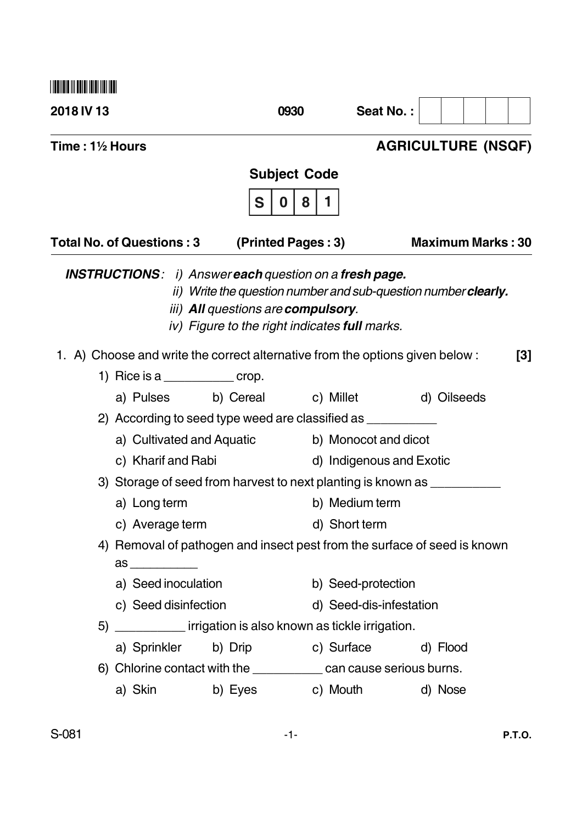**2018 IV 13 0930 Seat No. : Time : 1½ Hours AGRICULTURE (NSQF) Subject Code S 0 8 1** Total No. of Questions : 3 (Printed Pages : 3) Maximum Marks : 30 *INSTRUCTIONS : i) Answer each question on a fresh page. ii) Write the question number and sub-question number clearly. iii) All questions are compulsory. iv) Figure to the right indicates full marks.* 1. A) Choose and write the correct alternative from the options given below : **[3]** 1) Rice is a  $\_\_\_\_\_\_\_\_\_\$  crop. a) Pulses b) Cereal c) Millet d) Oilseeds 2) According to seed type weed are classified as \_\_\_\_\_\_\_\_\_\_ a) Cultivated and Aquatic b) Monocot and dicot c) Kharif and Rabi d) Indigenous and Exotic 3) Storage of seed from harvest to next planting is known as \_\_\_\_\_\_\_\_\_\_\_\_\_\_\_\_\_\_\_ a) Long term b) Medium term c) Average term d) Short term 4) Removal of pathogen and insect pest from the surface of seed is known as \_\_\_\_\_\_\_\_\_\_ a) Seed inoculation b) Seed-protection c) Seed disinfection d) Seed-dis-infestation 5) **Example 3** irrigation is also known as tickle irrigation. a) Sprinkler b) Drip c) Surface d) Flood 6) Chlorine contact with the can cause serious burns. a) Skin b) Eyes c) Mouth d) Nose --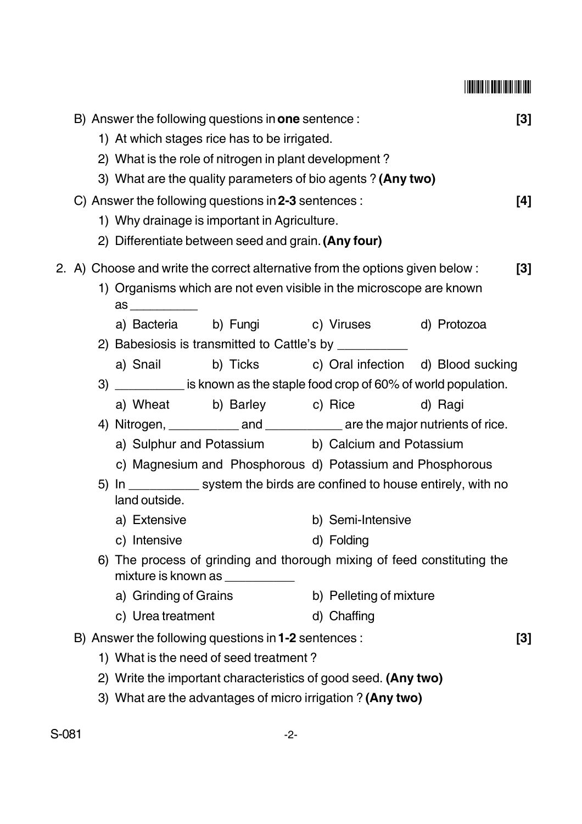## --

|  | B) Answer the following questions in <b>one</b> sentence :<br>1) At which stages rice has to be irrigated. |                                                                                                            |                                                                                                               |                                                                                                                                                                                                |  | $[3]$ |  |  |
|--|------------------------------------------------------------------------------------------------------------|------------------------------------------------------------------------------------------------------------|---------------------------------------------------------------------------------------------------------------|------------------------------------------------------------------------------------------------------------------------------------------------------------------------------------------------|--|-------|--|--|
|  | 2) What is the role of nitrogen in plant development?                                                      |                                                                                                            |                                                                                                               |                                                                                                                                                                                                |  |       |  |  |
|  |                                                                                                            | 3) What are the quality parameters of bio agents? (Any two)                                                |                                                                                                               |                                                                                                                                                                                                |  |       |  |  |
|  |                                                                                                            |                                                                                                            | C) Answer the following questions in 2-3 sentences :<br>$[4]$<br>1) Why drainage is important in Agriculture. |                                                                                                                                                                                                |  |       |  |  |
|  |                                                                                                            |                                                                                                            |                                                                                                               |                                                                                                                                                                                                |  |       |  |  |
|  |                                                                                                            |                                                                                                            | 2) Differentiate between seed and grain. (Any four)                                                           |                                                                                                                                                                                                |  |       |  |  |
|  |                                                                                                            | 2. A) Choose and write the correct alternative from the options given below:<br>$[3]$                      |                                                                                                               |                                                                                                                                                                                                |  |       |  |  |
|  | 1) Organisms which are not even visible in the microscope are known<br>$\mathsf{as} \_\_\_\_\_\_\_\$       |                                                                                                            |                                                                                                               |                                                                                                                                                                                                |  |       |  |  |
|  |                                                                                                            |                                                                                                            | a) Bacteria b) Fungi c) Viruses d) Protozoa                                                                   |                                                                                                                                                                                                |  |       |  |  |
|  |                                                                                                            |                                                                                                            | b) Ticks c) Oral infection d) Blood sucking                                                                   |                                                                                                                                                                                                |  |       |  |  |
|  |                                                                                                            | a) Snail                                                                                                   |                                                                                                               |                                                                                                                                                                                                |  |       |  |  |
|  | 3)                                                                                                         | is known as the staple food crop of 60% of world population.<br>a) Wheat b) Barley c) Rice<br>d) Ragi      |                                                                                                               |                                                                                                                                                                                                |  |       |  |  |
|  |                                                                                                            |                                                                                                            |                                                                                                               |                                                                                                                                                                                                |  |       |  |  |
|  |                                                                                                            |                                                                                                            |                                                                                                               |                                                                                                                                                                                                |  |       |  |  |
|  |                                                                                                            |                                                                                                            |                                                                                                               |                                                                                                                                                                                                |  |       |  |  |
|  |                                                                                                            |                                                                                                            |                                                                                                               |                                                                                                                                                                                                |  |       |  |  |
|  |                                                                                                            | land outside.                                                                                              |                                                                                                               | a) Sulphur and Potassium b) Calcium and Potassium<br>c) Magnesium and Phosphorous d) Potassium and Phosphorous<br>5) In _____________ system the birds are confined to house entirely, with no |  |       |  |  |
|  | a) Extensive<br>c) Intensive                                                                               |                                                                                                            |                                                                                                               | b) Semi-Intensive                                                                                                                                                                              |  |       |  |  |
|  |                                                                                                            |                                                                                                            |                                                                                                               | d) Folding                                                                                                                                                                                     |  |       |  |  |
|  |                                                                                                            | 6) The process of grinding and thorough mixing of feed constituting the<br>mixture is known as ___________ |                                                                                                               |                                                                                                                                                                                                |  |       |  |  |
|  |                                                                                                            | a) Grinding of Grains                                                                                      |                                                                                                               | b) Pelleting of mixture                                                                                                                                                                        |  |       |  |  |
|  |                                                                                                            | c) Urea treatment                                                                                          |                                                                                                               | d) Chaffing                                                                                                                                                                                    |  |       |  |  |
|  | B) Answer the following questions in 1-2 sentences :                                                       |                                                                                                            |                                                                                                               |                                                                                                                                                                                                |  |       |  |  |
|  | 1) What is the need of seed treatment?<br>2) Write the important characteristics of good seed. (Any two)   |                                                                                                            |                                                                                                               |                                                                                                                                                                                                |  |       |  |  |
|  |                                                                                                            |                                                                                                            |                                                                                                               |                                                                                                                                                                                                |  |       |  |  |
|  | 3) What are the advantages of micro irrigation ? (Any two)                                                 |                                                                                                            |                                                                                                               |                                                                                                                                                                                                |  |       |  |  |